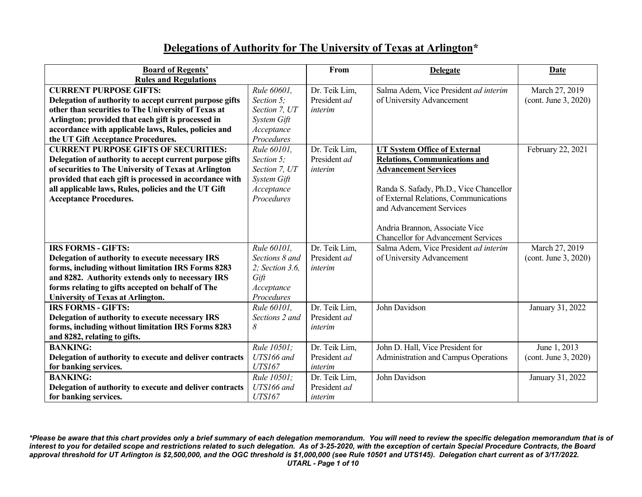## **Delegations of Authority for The University of Texas at Arlington\***

| <b>Board of Regents'</b>                                 |                 | From          | <b>Delegate</b>                            | <b>Date</b>          |
|----------------------------------------------------------|-----------------|---------------|--------------------------------------------|----------------------|
| <b>Rules and Regulations</b>                             |                 |               |                                            |                      |
| <b>CURRENT PURPOSE GIFTS:</b>                            | Rule 60601,     | Dr. Teik Lim, | Salma Adem, Vice President ad interim      | March 27, 2019       |
| Delegation of authority to accept current purpose gifts  | Section 5;      | President ad  | of University Advancement                  | (cont. June 3, 2020) |
| other than securities to The University of Texas at      | Section 7, UT   | interim       |                                            |                      |
| Arlington; provided that each gift is processed in       | System Gift     |               |                                            |                      |
| accordance with applicable laws, Rules, policies and     | Acceptance      |               |                                            |                      |
| the UT Gift Acceptance Procedures.                       | Procedures      |               |                                            |                      |
| <b>CURRENT PURPOSE GIFTS OF SECURITIES:</b>              | Rule 60101.     | Dr. Teik Lim, | <b>UT System Office of External</b>        | February 22, 2021    |
| Delegation of authority to accept current purpose gifts  | Section 5;      | President ad  | <b>Relations, Communications and</b>       |                      |
| of securities to The University of Texas at Arlington    | Section 7, UT   | interim       | <b>Advancement Services</b>                |                      |
| provided that each gift is processed in accordance with  | System Gift     |               |                                            |                      |
| all applicable laws, Rules, policies and the UT Gift     | Acceptance      |               | Randa S. Safady, Ph.D., Vice Chancellor    |                      |
| <b>Acceptance Procedures.</b>                            | Procedures      |               | of External Relations, Communications      |                      |
|                                                          |                 |               | and Advancement Services                   |                      |
|                                                          |                 |               |                                            |                      |
|                                                          |                 |               | Andria Brannon, Associate Vice             |                      |
|                                                          |                 |               | <b>Chancellor for Advancement Services</b> |                      |
| <b>IRS FORMS - GIFTS:</b>                                | Rule 60101,     | Dr. Teik Lim, | Salma Adem, Vice President ad interim      | March 27, 2019       |
| Delegation of authority to execute necessary IRS         | Sections 8 and  | President ad  | of University Advancement                  | (cont. June 3, 2020) |
| forms, including without limitation IRS Forms 8283       | 2; Section 3.6, | interim       |                                            |                      |
| and 8282. Authority extends only to necessary IRS        | Gift            |               |                                            |                      |
| forms relating to gifts accepted on behalf of The        | Acceptance      |               |                                            |                      |
| <b>University of Texas at Arlington.</b>                 | Procedures      |               |                                            |                      |
| <b>IRS FORMS - GIFTS:</b>                                | Rule 60101.     | Dr. Teik Lim, | John Davidson                              | January 31, 2022     |
| Delegation of authority to execute necessary IRS         | Sections 2 and  | President ad  |                                            |                      |
| forms, including without limitation IRS Forms 8283       | 8               | interim       |                                            |                      |
| and 8282, relating to gifts.                             |                 |               |                                            |                      |
| <b>BANKING:</b>                                          | Rule 10501;     | Dr. Teik Lim, | John D. Hall, Vice President for           | June 1, 2013         |
| Delegation of authority to execute and deliver contracts | UTS166 and      | President ad  | Administration and Campus Operations       | (cont. June 3, 2020) |
| for banking services.                                    | <b>UTS167</b>   | interim       |                                            |                      |
| <b>BANKING:</b>                                          | Rule 10501;     | Dr. Teik Lim, | John Davidson                              | January 31, 2022     |
| Delegation of authority to execute and deliver contracts | UTS166 and      | President ad  |                                            |                      |
| for banking services.                                    | <b>UTS167</b>   | interim       |                                            |                      |

*\*Please be aware that this chart provides only a brief summary of each delegation memorandum. You will need to review the specific delegation memorandum that is of interest to you for detailed scope and restrictions related to such delegation. As of 3-25-2020, with the exception of certain Special Procedure Contracts, the Board approval threshold for UT Arlington is \$2,500,000, and the OGC threshold is \$1,000,000 (see Rule 10501 and UTS145). Delegation chart current as of 3/17/2022. UTARL - Page 1 of 10*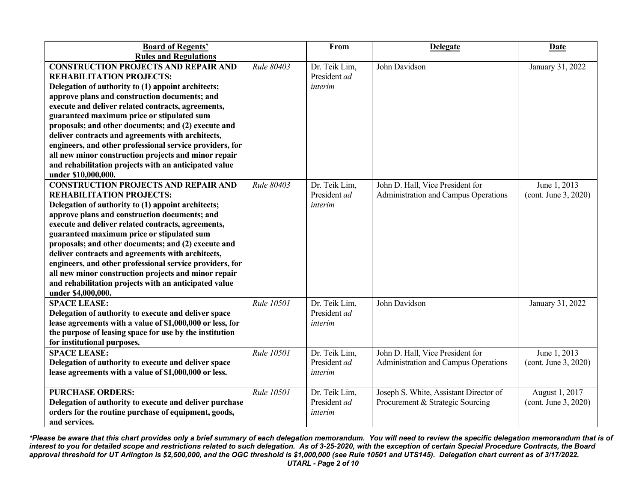| <b>Board of Regents'</b><br><b>Rules and Regulations</b>                                                                                                                                                                                                                                                                                                                                                                                                                                                                                                                                                  |            | From                                     | <b>Delegate</b>                                                            | Date                                   |
|-----------------------------------------------------------------------------------------------------------------------------------------------------------------------------------------------------------------------------------------------------------------------------------------------------------------------------------------------------------------------------------------------------------------------------------------------------------------------------------------------------------------------------------------------------------------------------------------------------------|------------|------------------------------------------|----------------------------------------------------------------------------|----------------------------------------|
| <b>CONSTRUCTION PROJECTS AND REPAIR AND</b><br><b>REHABILITATION PROJECTS:</b><br>Delegation of authority to (1) appoint architects;<br>approve plans and construction documents; and<br>execute and deliver related contracts, agreements,<br>guaranteed maximum price or stipulated sum<br>proposals; and other documents; and (2) execute and<br>deliver contracts and agreements with architects,<br>engineers, and other professional service providers, for<br>all new minor construction projects and minor repair<br>and rehabilitation projects with an anticipated value<br>under \$10,000,000. | Rule 80403 | Dr. Teik Lim,<br>President ad<br>interim | John Davidson                                                              | January 31, 2022                       |
| <b>CONSTRUCTION PROJECTS AND REPAIR AND</b><br><b>REHABILITATION PROJECTS:</b><br>Delegation of authority to (1) appoint architects;<br>approve plans and construction documents; and<br>execute and deliver related contracts, agreements,<br>guaranteed maximum price or stipulated sum<br>proposals; and other documents; and (2) execute and<br>deliver contracts and agreements with architects,<br>engineers, and other professional service providers, for<br>all new minor construction projects and minor repair<br>and rehabilitation projects with an anticipated value<br>under \$4,000,000.  | Rule 80403 | Dr. Teik Lim,<br>President ad<br>interim | John D. Hall, Vice President for<br>Administration and Campus Operations   | June 1, 2013<br>(cont. June 3, 2020)   |
| <b>SPACE LEASE:</b><br>Delegation of authority to execute and deliver space<br>lease agreements with a value of \$1,000,000 or less, for<br>the purpose of leasing space for use by the institution<br>for institutional purposes.                                                                                                                                                                                                                                                                                                                                                                        | Rule 10501 | Dr. Teik Lim,<br>President ad<br>interim | John Davidson                                                              | January 31, 2022                       |
| <b>SPACE LEASE:</b><br>Delegation of authority to execute and deliver space<br>lease agreements with a value of \$1,000,000 or less.                                                                                                                                                                                                                                                                                                                                                                                                                                                                      | Rule 10501 | Dr. Teik Lim,<br>President ad<br>interim | John D. Hall, Vice President for<br>Administration and Campus Operations   | June 1, 2013<br>(cont. June 3, 2020)   |
| <b>PURCHASE ORDERS:</b><br>Delegation of authority to execute and deliver purchase<br>orders for the routine purchase of equipment, goods,<br>and services.                                                                                                                                                                                                                                                                                                                                                                                                                                               | Rule 10501 | Dr. Teik Lim,<br>President ad<br>interim | Joseph S. White, Assistant Director of<br>Procurement & Strategic Sourcing | August 1, 2017<br>(cont. June 3, 2020) |

*\*Please be aware that this chart provides only a brief summary of each delegation memorandum. You will need to review the specific delegation memorandum that is of interest to you for detailed scope and restrictions related to such delegation. As of 3-25-2020, with the exception of certain Special Procedure Contracts, the Board approval threshold for UT Arlington is \$2,500,000, and the OGC threshold is \$1,000,000 (see Rule 10501 and UTS145). Delegation chart current as of 3/17/2022. UTARL - Page 2 of 10*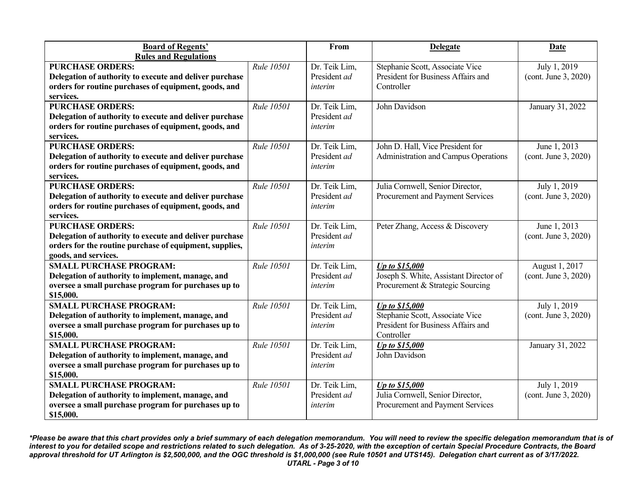| <b>Board of Regents'</b>                                |            | From          | <b>Delegate</b>                             | <b>Date</b>          |
|---------------------------------------------------------|------------|---------------|---------------------------------------------|----------------------|
| <b>Rules and Regulations</b>                            |            |               |                                             |                      |
| <b>PURCHASE ORDERS:</b>                                 | Rule 10501 | Dr. Teik Lim, | Stephanie Scott, Associate Vice             | July 1, 2019         |
| Delegation of authority to execute and deliver purchase |            | President ad  | President for Business Affairs and          | (cont. June 3, 2020) |
| orders for routine purchases of equipment, goods, and   |            | interim       | Controller                                  |                      |
| services.                                               |            |               |                                             |                      |
| <b>PURCHASE ORDERS:</b>                                 | Rule 10501 | Dr. Teik Lim, | John Davidson                               | January 31, 2022     |
| Delegation of authority to execute and deliver purchase |            | President ad  |                                             |                      |
| orders for routine purchases of equipment, goods, and   |            | interim       |                                             |                      |
| services.                                               |            |               |                                             |                      |
| <b>PURCHASE ORDERS:</b>                                 | Rule 10501 | Dr. Teik Lim, | John D. Hall, Vice President for            | June 1, 2013         |
| Delegation of authority to execute and deliver purchase |            | President ad  | <b>Administration and Campus Operations</b> | (cont. June 3, 2020) |
| orders for routine purchases of equipment, goods, and   |            | interim       |                                             |                      |
| services.                                               |            |               |                                             |                      |
| <b>PURCHASE ORDERS:</b>                                 | Rule 10501 | Dr. Teik Lim, | Julia Cornwell, Senior Director,            | July 1, 2019         |
| Delegation of authority to execute and deliver purchase |            | President ad  | Procurement and Payment Services            | (cont. June 3, 2020) |
| orders for routine purchases of equipment, goods, and   |            | interim       |                                             |                      |
| services.                                               |            |               |                                             |                      |
| <b>PURCHASE ORDERS:</b>                                 | Rule 10501 | Dr. Teik Lim, | Peter Zhang, Access & Discovery             | June 1, 2013         |
| Delegation of authority to execute and deliver purchase |            | President ad  |                                             | (cont. June 3, 2020) |
| orders for the routine purchase of equipment, supplies, |            | interim       |                                             |                      |
| goods, and services.                                    |            |               |                                             |                      |
| <b>SMALL PURCHASE PROGRAM:</b>                          | Rule 10501 | Dr. Teik Lim, | <b>Up to \$15,000</b>                       | August 1, 2017       |
| Delegation of authority to implement, manage, and       |            | President ad  | Joseph S. White, Assistant Director of      | (cont. June 3, 2020) |
| oversee a small purchase program for purchases up to    |            | interim       | Procurement & Strategic Sourcing            |                      |
| \$15,000.                                               |            |               |                                             |                      |
| <b>SMALL PURCHASE PROGRAM:</b>                          | Rule 10501 | Dr. Teik Lim, | Up to \$15,000                              | July 1, 2019         |
| Delegation of authority to implement, manage, and       |            | President ad  | Stephanie Scott, Associate Vice             | (cont. June 3, 2020) |
| oversee a small purchase program for purchases up to    |            | interim       | President for Business Affairs and          |                      |
| \$15,000.                                               |            |               | Controller                                  |                      |
| <b>SMALL PURCHASE PROGRAM:</b>                          | Rule 10501 | Dr. Teik Lim, | <b>Up to \$15,000</b>                       | January 31, 2022     |
| Delegation of authority to implement, manage, and       |            | President ad  | John Davidson                               |                      |
| oversee a small purchase program for purchases up to    |            | interim       |                                             |                      |
| \$15,000.                                               |            |               |                                             |                      |
| <b>SMALL PURCHASE PROGRAM:</b>                          | Rule 10501 | Dr. Teik Lim, | <b>Up to \$15,000</b>                       | July 1, 2019         |
| Delegation of authority to implement, manage, and       |            | President ad  | Julia Cornwell, Senior Director,            | (cont. June 3, 2020) |
| oversee a small purchase program for purchases up to    |            | interim       | Procurement and Payment Services            |                      |
| \$15,000.                                               |            |               |                                             |                      |

*\*Please be aware that this chart provides only a brief summary of each delegation memorandum. You will need to review the specific delegation memorandum that is of interest to you for detailed scope and restrictions related to such delegation. As of 3-25-2020, with the exception of certain Special Procedure Contracts, the Board approval threshold for UT Arlington is \$2,500,000, and the OGC threshold is \$1,000,000 (see Rule 10501 and UTS145). Delegation chart current as of 3/17/2022. UTARL - Page 3 of 10*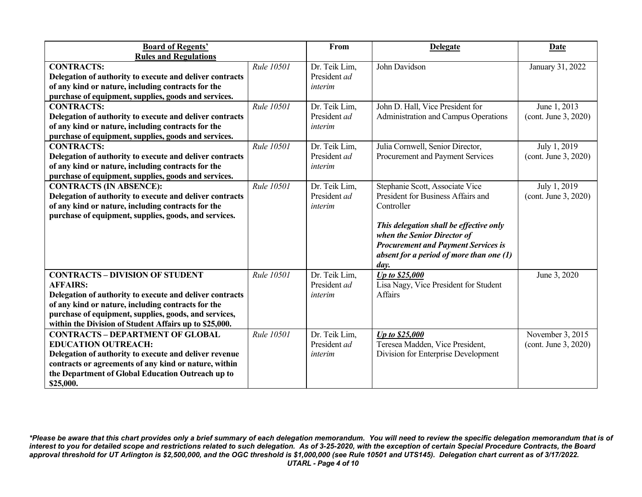| <b>Board of Regents'</b>                                 |            | From          | <b>Delegate</b>                            | Date                 |
|----------------------------------------------------------|------------|---------------|--------------------------------------------|----------------------|
| <b>Rules and Regulations</b>                             |            |               |                                            |                      |
| <b>CONTRACTS:</b>                                        | Rule 10501 | Dr. Teik Lim, | John Davidson                              | January 31, 2022     |
| Delegation of authority to execute and deliver contracts |            | President ad  |                                            |                      |
| of any kind or nature, including contracts for the       |            | interim       |                                            |                      |
| purchase of equipment, supplies, goods and services.     |            |               |                                            |                      |
| <b>CONTRACTS:</b>                                        | Rule 10501 | Dr. Teik Lim, | John D. Hall, Vice President for           | June 1, 2013         |
| Delegation of authority to execute and deliver contracts |            | President ad  | Administration and Campus Operations       | (cont. June 3, 2020) |
| of any kind or nature, including contracts for the       |            | interim       |                                            |                      |
| purchase of equipment, supplies, goods and services.     |            |               |                                            |                      |
| <b>CONTRACTS:</b>                                        | Rule 10501 | Dr. Teik Lim, | Julia Cornwell, Senior Director,           | July 1, 2019         |
| Delegation of authority to execute and deliver contracts |            | President ad  | Procurement and Payment Services           | (cont. June 3, 2020) |
| of any kind or nature, including contracts for the       |            | interim       |                                            |                      |
| purchase of equipment, supplies, goods and services.     |            |               |                                            |                      |
| <b>CONTRACTS (IN ABSENCE):</b>                           | Rule 10501 | Dr. Teik Lim, | Stephanie Scott, Associate Vice            | July 1, 2019         |
| Delegation of authority to execute and deliver contracts |            | President ad  | President for Business Affairs and         | (cont. June 3, 2020) |
| of any kind or nature, including contracts for the       |            | interim       | Controller                                 |                      |
| purchase of equipment, supplies, goods, and services.    |            |               |                                            |                      |
|                                                          |            |               | This delegation shall be effective only    |                      |
|                                                          |            |               | when the Senior Director of                |                      |
|                                                          |            |               | <b>Procurement and Payment Services is</b> |                      |
|                                                          |            |               | absent for a period of more than one (1)   |                      |
|                                                          |            |               | day.                                       |                      |
| <b>CONTRACTS - DIVISION OF STUDENT</b>                   | Rule 10501 | Dr. Teik Lim, | Up to \$25,000                             | June 3, 2020         |
| <b>AFFAIRS:</b>                                          |            | President ad  | Lisa Nagy, Vice President for Student      |                      |
| Delegation of authority to execute and deliver contracts |            | interim       | Affairs                                    |                      |
| of any kind or nature, including contracts for the       |            |               |                                            |                      |
| purchase of equipment, supplies, goods, and services,    |            |               |                                            |                      |
| within the Division of Student Affairs up to \$25,000.   |            |               |                                            |                      |
| <b>CONTRACTS - DEPARTMENT OF GLOBAL</b>                  | Rule 10501 | Dr. Teik Lim, | Up to \$25,000                             | November 3, 2015     |
| <b>EDUCATION OUTREACH:</b>                               |            | President ad  | Teresea Madden, Vice President,            | (cont. June 3, 2020) |
| Delegation of authority to execute and deliver revenue   |            | interim       | Division for Enterprise Development        |                      |
| contracts or agreements of any kind or nature, within    |            |               |                                            |                      |
| the Department of Global Education Outreach up to        |            |               |                                            |                      |
| \$25,000.                                                |            |               |                                            |                      |

*\*Please be aware that this chart provides only a brief summary of each delegation memorandum. You will need to review the specific delegation memorandum that is of interest to you for detailed scope and restrictions related to such delegation. As of 3-25-2020, with the exception of certain Special Procedure Contracts, the Board approval threshold for UT Arlington is \$2,500,000, and the OGC threshold is \$1,000,000 (see Rule 10501 and UTS145). Delegation chart current as of 3/17/2022. UTARL - Page 4 of 10*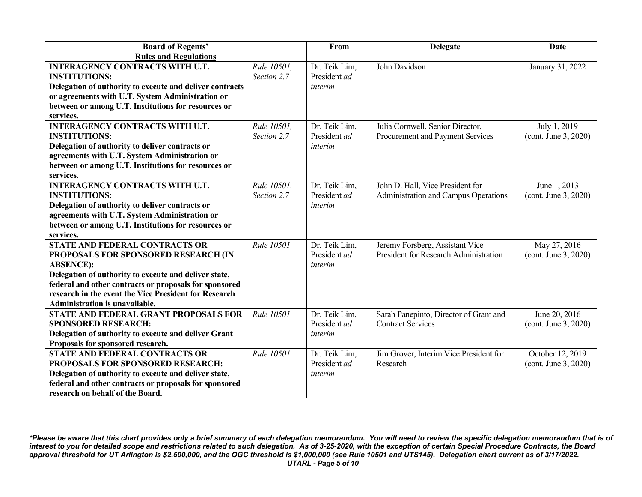| <b>Board of Regents'</b>                                                                                                                                                                                                                                                                                              |                            | From                                     | <b>Delegate</b>                                                          | <b>Date</b>                              |
|-----------------------------------------------------------------------------------------------------------------------------------------------------------------------------------------------------------------------------------------------------------------------------------------------------------------------|----------------------------|------------------------------------------|--------------------------------------------------------------------------|------------------------------------------|
| <b>Rules and Regulations</b><br><b>INTERAGENCY CONTRACTS WITH U.T.</b><br><b>INSTITUTIONS:</b><br>Delegation of authority to execute and deliver contracts<br>or agreements with U.T. System Administration or<br>between or among U.T. Institutions for resources or                                                 | Rule 10501,<br>Section 2.7 | Dr. Teik Lim,<br>President ad<br>interim | John Davidson                                                            | January 31, 2022                         |
| services.<br><b>INTERAGENCY CONTRACTS WITH U.T.</b><br><b>INSTITUTIONS:</b><br>Delegation of authority to deliver contracts or<br>agreements with U.T. System Administration or<br>between or among U.T. Institutions for resources or                                                                                | Rule 10501,<br>Section 2.7 | Dr. Teik Lim,<br>President ad<br>interim | Julia Cornwell, Senior Director,<br>Procurement and Payment Services     | July 1, 2019<br>(cont. June 3, 2020)     |
| services.<br><b>INTERAGENCY CONTRACTS WITH U.T.</b><br><b>INSTITUTIONS:</b><br>Delegation of authority to deliver contracts or<br>agreements with U.T. System Administration or<br>between or among U.T. Institutions for resources or<br>services.                                                                   | Rule 10501,<br>Section 2.7 | Dr. Teik Lim,<br>President ad<br>interim | John D. Hall, Vice President for<br>Administration and Campus Operations | June 1, 2013<br>(cont. June 3, 2020)     |
| <b>STATE AND FEDERAL CONTRACTS OR</b><br>PROPOSALS FOR SPONSORED RESEARCH (IN<br><b>ABSENCE:</b><br>Delegation of authority to execute and deliver state,<br>federal and other contracts or proposals for sponsored<br>research in the event the Vice President for Research<br><b>Administration is unavailable.</b> | Rule 10501                 | Dr. Teik Lim,<br>President ad<br>interim | Jeremy Forsberg, Assistant Vice<br>President for Research Administration | May 27, 2016<br>(cont. June 3, 2020)     |
| STATE AND FEDERAL GRANT PROPOSALS FOR<br><b>SPONSORED RESEARCH:</b><br>Delegation of authority to execute and deliver Grant<br>Proposals for sponsored research.                                                                                                                                                      | Rule 10501                 | Dr. Teik Lim,<br>President ad<br>interim | Sarah Panepinto, Director of Grant and<br><b>Contract Services</b>       | June 20, 2016<br>(cont. June 3, 2020)    |
| <b>STATE AND FEDERAL CONTRACTS OR</b><br>PROPOSALS FOR SPONSORED RESEARCH:<br>Delegation of authority to execute and deliver state,<br>federal and other contracts or proposals for sponsored<br>research on behalf of the Board.                                                                                     | <b>Rule 10501</b>          | Dr. Teik Lim,<br>President ad<br>interim | Jim Grover, Interim Vice President for<br>Research                       | October 12, 2019<br>(cont. June 3, 2020) |

*\*Please be aware that this chart provides only a brief summary of each delegation memorandum. You will need to review the specific delegation memorandum that is of interest to you for detailed scope and restrictions related to such delegation. As of 3-25-2020, with the exception of certain Special Procedure Contracts, the Board approval threshold for UT Arlington is \$2,500,000, and the OGC threshold is \$1,000,000 (see Rule 10501 and UTS145). Delegation chart current as of 3/17/2022. UTARL - Page 5 of 10*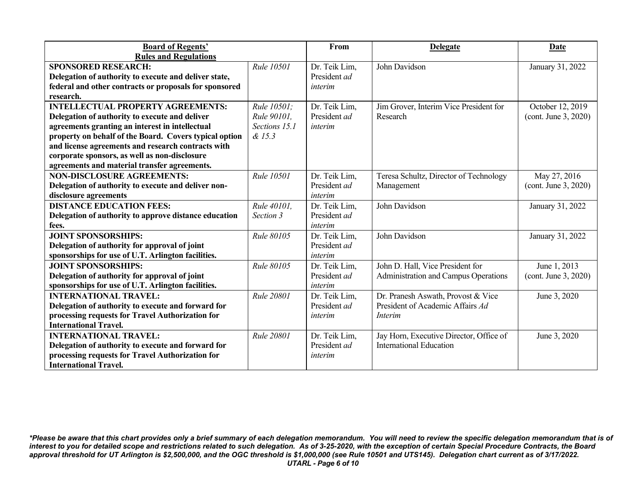| <b>Board of Regents'</b>                               |               | From          | <b>Delegate</b>                         | <b>Date</b>          |
|--------------------------------------------------------|---------------|---------------|-----------------------------------------|----------------------|
| <b>Rules and Regulations</b>                           |               |               |                                         |                      |
| <b>SPONSORED RESEARCH:</b>                             | Rule 10501    | Dr. Teik Lim, | John Davidson                           | January 31, 2022     |
| Delegation of authority to execute and deliver state,  |               | President ad  |                                         |                      |
| federal and other contracts or proposals for sponsored |               | interim       |                                         |                      |
| research.                                              |               |               |                                         |                      |
| <b>INTELLECTUAL PROPERTY AGREEMENTS:</b>               | Rule 10501:   | Dr. Teik Lim, | Jim Grover, Interim Vice President for  | October 12, 2019     |
| Delegation of authority to execute and deliver         | Rule 90101.   | President ad  | Research                                | (cont. June 3, 2020) |
| agreements granting an interest in intellectual        | Sections 15.1 | interim       |                                         |                      |
| property on behalf of the Board. Covers typical option | & 15.3        |               |                                         |                      |
| and license agreements and research contracts with     |               |               |                                         |                      |
| corporate sponsors, as well as non-disclosure          |               |               |                                         |                      |
| agreements and material transfer agreements.           |               |               |                                         |                      |
| <b>NON-DISCLOSURE AGREEMENTS:</b>                      | Rule 10501    | Dr. Teik Lim, | Teresa Schultz, Director of Technology  | May 27, 2016         |
| Delegation of authority to execute and deliver non-    |               | President ad  | Management                              | (cont. June 3, 2020) |
| disclosure agreements                                  |               | interim       |                                         |                      |
| <b>DISTANCE EDUCATION FEES:</b>                        | Rule 40101.   | Dr. Teik Lim, | John Davidson                           | January 31, 2022     |
| Delegation of authority to approve distance education  | Section 3     | President ad  |                                         |                      |
| fees.                                                  |               | interim       |                                         |                      |
| <b>JOINT SPONSORSHIPS:</b>                             | Rule 80105    | Dr. Teik Lim, | John Davidson                           | January 31, 2022     |
| Delegation of authority for approval of joint          |               | President ad  |                                         |                      |
| sponsorships for use of U.T. Arlington facilities.     |               | interim       |                                         |                      |
| <b>JOINT SPONSORSHIPS:</b>                             | Rule 80105    | Dr. Teik Lim, | John D. Hall, Vice President for        | June 1, 2013         |
| Delegation of authority for approval of joint          |               | President ad  | Administration and Campus Operations    | (cont. June 3, 2020) |
| sponsorships for use of U.T. Arlington facilities.     |               | interim       |                                         |                      |
| <b>INTERNATIONAL TRAVEL:</b>                           | Rule 20801    | Dr. Teik Lim, | Dr. Pranesh Aswath, Provost & Vice      | June 3, 2020         |
| Delegation of authority to execute and forward for     |               | President ad  | President of Academic Affairs Ad        |                      |
| processing requests for Travel Authorization for       |               | interim       | <i>Interim</i>                          |                      |
| <b>International Travel.</b>                           |               |               |                                         |                      |
| <b>INTERNATIONAL TRAVEL:</b>                           | Rule 20801    | Dr. Teik Lim, | Jay Horn, Executive Director, Office of | June 3, 2020         |
| Delegation of authority to execute and forward for     |               | President ad  | <b>International Education</b>          |                      |
| processing requests for Travel Authorization for       |               | interim       |                                         |                      |
| <b>International Travel.</b>                           |               |               |                                         |                      |

*\*Please be aware that this chart provides only a brief summary of each delegation memorandum. You will need to review the specific delegation memorandum that is of interest to you for detailed scope and restrictions related to such delegation. As of 3-25-2020, with the exception of certain Special Procedure Contracts, the Board approval threshold for UT Arlington is \$2,500,000, and the OGC threshold is \$1,000,000 (see Rule 10501 and UTS145). Delegation chart current as of 3/17/2022. UTARL - Page 6 of 10*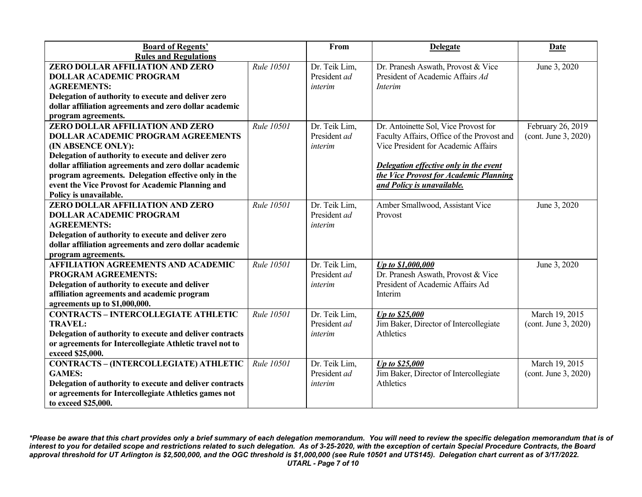| <b>Board of Regents'</b>                                 |            | From          | <b>Delegate</b>                            | Date                 |
|----------------------------------------------------------|------------|---------------|--------------------------------------------|----------------------|
| <b>Rules and Regulations</b>                             |            |               |                                            |                      |
| ZERO DOLLAR AFFILIATION AND ZERO                         | Rule 10501 | Dr. Teik Lim, | Dr. Pranesh Aswath, Provost & Vice         | June 3, 2020         |
| <b>DOLLAR ACADEMIC PROGRAM</b>                           |            | President ad  | President of Academic Affairs Ad           |                      |
| <b>AGREEMENTS:</b>                                       |            | interim       | <i>Interim</i>                             |                      |
| Delegation of authority to execute and deliver zero      |            |               |                                            |                      |
| dollar affiliation agreements and zero dollar academic   |            |               |                                            |                      |
| program agreements.                                      |            |               |                                            |                      |
| <b>ZERO DOLLAR AFFILIATION AND ZERO</b>                  | Rule 10501 | Dr. Teik Lim, | Dr. Antoinette Sol, Vice Provost for       | February 26, 2019    |
| <b>DOLLAR ACADEMIC PROGRAM AGREEMENTS</b>                |            | President ad  | Faculty Affairs, Office of the Provost and | (cont. June 3, 2020) |
| (IN ABSENCE ONLY):                                       |            | interim       | Vice President for Academic Affairs        |                      |
| Delegation of authority to execute and deliver zero      |            |               |                                            |                      |
| dollar affiliation agreements and zero dollar academic   |            |               | Delegation effective only in the event     |                      |
| program agreements. Delegation effective only in the     |            |               | the Vice Provost for Academic Planning     |                      |
| event the Vice Provost for Academic Planning and         |            |               | and Policy is unavailable.                 |                      |
| Policy is unavailable.                                   |            |               |                                            |                      |
| ZERO DOLLAR AFFILIATION AND ZERO                         | Rule 10501 | Dr. Teik Lim, | Amber Smallwood, Assistant Vice            | June 3, 2020         |
| <b>DOLLAR ACADEMIC PROGRAM</b>                           |            | President ad  | Provost                                    |                      |
| <b>AGREEMENTS:</b>                                       |            | interim       |                                            |                      |
| Delegation of authority to execute and deliver zero      |            |               |                                            |                      |
| dollar affiliation agreements and zero dollar academic   |            |               |                                            |                      |
| program agreements.                                      |            |               |                                            |                      |
| <b>AFFILIATION AGREEMENTS AND ACADEMIC</b>               | Rule 10501 | Dr. Teik Lim, | Up to \$1,000,000                          | June 3, 2020         |
| PROGRAM AGREEMENTS:                                      |            | President ad  | Dr. Pranesh Aswath, Provost & Vice         |                      |
| Delegation of authority to execute and deliver           |            | interim       | President of Academic Affairs Ad           |                      |
| affiliation agreements and academic program              |            |               | Interim                                    |                      |
| agreements up to \$1,000,000.                            |            |               |                                            |                      |
| <b>CONTRACTS - INTERCOLLEGIATE ATHLETIC</b>              | Rule 10501 | Dr. Teik Lim, | Up to \$25,000                             | March 19, 2015       |
| <b>TRAVEL:</b>                                           |            | President ad  | Jim Baker, Director of Intercollegiate     | (cont. June 3, 2020) |
| Delegation of authority to execute and deliver contracts |            | interim       | Athletics                                  |                      |
| or agreements for Intercollegiate Athletic travel not to |            |               |                                            |                      |
| exceed \$25,000.                                         |            |               |                                            |                      |
| <b>CONTRACTS - (INTERCOLLEGIATE) ATHLETIC</b>            | Rule 10501 | Dr. Teik Lim, | Up to \$25,000                             | March 19, 2015       |
| <b>GAMES:</b>                                            |            | President ad  | Jim Baker, Director of Intercollegiate     | (cont. June 3, 2020) |
| Delegation of authority to execute and deliver contracts |            | interim       | Athletics                                  |                      |
| or agreements for Intercollegiate Athletics games not    |            |               |                                            |                      |
| to exceed \$25,000.                                      |            |               |                                            |                      |

*\*Please be aware that this chart provides only a brief summary of each delegation memorandum. You will need to review the specific delegation memorandum that is of interest to you for detailed scope and restrictions related to such delegation. As of 3-25-2020, with the exception of certain Special Procedure Contracts, the Board approval threshold for UT Arlington is \$2,500,000, and the OGC threshold is \$1,000,000 (see Rule 10501 and UTS145). Delegation chart current as of 3/17/2022. UTARL - Page 7 of 10*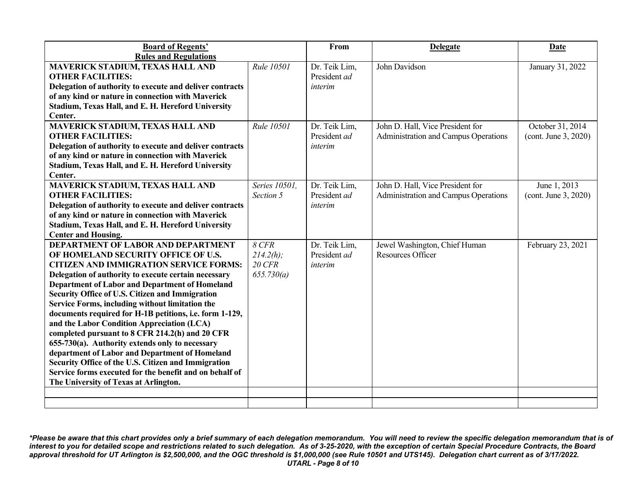| <b>Board of Regents'</b><br><b>Rules and Regulations</b>                                                                                                                                                                                                                                                                                                                                                                                                                                                                                                                                                                                                                                                                                                                                    |                                                        | From                                     | <b>Delegate</b>                                                          | <b>Date</b>                              |
|---------------------------------------------------------------------------------------------------------------------------------------------------------------------------------------------------------------------------------------------------------------------------------------------------------------------------------------------------------------------------------------------------------------------------------------------------------------------------------------------------------------------------------------------------------------------------------------------------------------------------------------------------------------------------------------------------------------------------------------------------------------------------------------------|--------------------------------------------------------|------------------------------------------|--------------------------------------------------------------------------|------------------------------------------|
| <b>MAVERICK STADIUM, TEXAS HALL AND</b><br><b>OTHER FACILITIES:</b><br>Delegation of authority to execute and deliver contracts<br>of any kind or nature in connection with Maverick<br>Stadium, Texas Hall, and E. H. Hereford University<br>Center.                                                                                                                                                                                                                                                                                                                                                                                                                                                                                                                                       | Rule 10501                                             | Dr. Teik Lim,<br>President ad<br>interim | John Davidson                                                            | January 31, 2022                         |
| <b>MAVERICK STADIUM, TEXAS HALL AND</b><br><b>OTHER FACILITIES:</b><br>Delegation of authority to execute and deliver contracts<br>of any kind or nature in connection with Maverick<br>Stadium, Texas Hall, and E. H. Hereford University<br>Center.                                                                                                                                                                                                                                                                                                                                                                                                                                                                                                                                       | Rule 10501                                             | Dr. Teik Lim,<br>President ad<br>interim | John D. Hall, Vice President for<br>Administration and Campus Operations | October 31, 2014<br>(cont. June 3, 2020) |
| <b>MAVERICK STADIUM, TEXAS HALL AND</b><br><b>OTHER FACILITIES:</b><br>Delegation of authority to execute and deliver contracts<br>of any kind or nature in connection with Maverick<br>Stadium, Texas Hall, and E. H. Hereford University<br><b>Center and Housing.</b>                                                                                                                                                                                                                                                                                                                                                                                                                                                                                                                    | Series 10501.<br>Section 5                             | Dr. Teik Lim,<br>President ad<br>interim | John D. Hall, Vice President for<br>Administration and Campus Operations | June 1, 2013<br>(cont. June 3, 2020)     |
| <b>DEPARTMENT OF LABOR AND DEPARTMENT</b><br>OF HOMELAND SECURITY OFFICE OF U.S.<br><b>CITIZEN AND IMMIGRATION SERVICE FORMS:</b><br>Delegation of authority to execute certain necessary<br><b>Department of Labor and Department of Homeland</b><br><b>Security Office of U.S. Citizen and Immigration</b><br>Service Forms, including without limitation the<br>documents required for H-1B petitions, i.e. form 1-129,<br>and the Labor Condition Appreciation (LCA)<br>completed pursuant to 8 CFR 214.2(h) and 20 CFR<br>655-730(a). Authority extends only to necessary<br>department of Labor and Department of Homeland<br>Security Office of the U.S. Citizen and Immigration<br>Service forms executed for the benefit and on behalf of<br>The University of Texas at Arlington. | $8$ CFR<br>$214.2(h)$ ;<br><b>20 CFR</b><br>655.730(a) | Dr. Teik Lim,<br>President ad<br>interim | Jewel Washington, Chief Human<br><b>Resources Officer</b>                | February 23, 2021                        |
|                                                                                                                                                                                                                                                                                                                                                                                                                                                                                                                                                                                                                                                                                                                                                                                             |                                                        |                                          |                                                                          |                                          |

*\*Please be aware that this chart provides only a brief summary of each delegation memorandum. You will need to review the specific delegation memorandum that is of interest to you for detailed scope and restrictions related to such delegation. As of 3-25-2020, with the exception of certain Special Procedure Contracts, the Board approval threshold for UT Arlington is \$2,500,000, and the OGC threshold is \$1,000,000 (see Rule 10501 and UTS145). Delegation chart current as of 3/17/2022. UTARL - Page 8 of 10*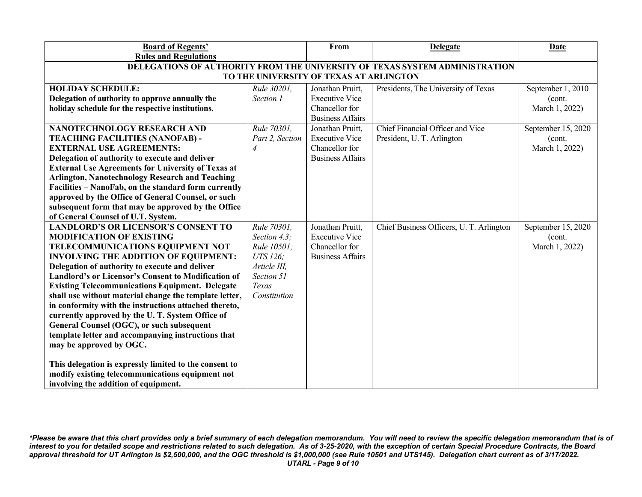| <b>Board of Regents'</b>                                                    |                 | From                    | <b>Delegate</b>                          | <b>Date</b>        |  |  |
|-----------------------------------------------------------------------------|-----------------|-------------------------|------------------------------------------|--------------------|--|--|
| <b>Rules and Regulations</b>                                                |                 |                         |                                          |                    |  |  |
| DELEGATIONS OF AUTHORITY FROM THE UNIVERSITY OF TEXAS SYSTEM ADMINISTRATION |                 |                         |                                          |                    |  |  |
| TO THE UNIVERSITY OF TEXAS AT ARLINGTON                                     |                 |                         |                                          |                    |  |  |
| <b>HOLIDAY SCHEDULE:</b>                                                    | Rule 30201,     | Jonathan Pruitt,        | Presidents, The University of Texas      | September 1, 2010  |  |  |
| Delegation of authority to approve annually the                             | Section 1       | <b>Executive Vice</b>   |                                          | (cont.             |  |  |
| holiday schedule for the respective institutions.                           |                 | Chancellor for          |                                          | March 1, 2022)     |  |  |
|                                                                             |                 | <b>Business Affairs</b> |                                          |                    |  |  |
| NANOTECHNOLOGY RESEARCH AND                                                 | Rule 70301,     | Jonathan Pruitt,        | Chief Financial Officer and Vice         | September 15, 2020 |  |  |
| <b>TEACHING FACILITIES (NANOFAB) -</b>                                      | Part 2, Section | <b>Executive Vice</b>   | President, U. T. Arlington               | (cont.             |  |  |
| <b>EXTERNAL USE AGREEMENTS:</b>                                             | 4               | Chancellor for          |                                          | March 1, 2022)     |  |  |
| Delegation of authority to execute and deliver                              |                 | <b>Business Affairs</b> |                                          |                    |  |  |
| <b>External Use Agreements for University of Texas at</b>                   |                 |                         |                                          |                    |  |  |
| <b>Arlington, Nanotechnology Research and Teaching</b>                      |                 |                         |                                          |                    |  |  |
| Facilities - NanoFab, on the standard form currently                        |                 |                         |                                          |                    |  |  |
| approved by the Office of General Counsel, or such                          |                 |                         |                                          |                    |  |  |
| subsequent form that may be approved by the Office                          |                 |                         |                                          |                    |  |  |
| of General Counsel of U.T. System.                                          |                 |                         |                                          |                    |  |  |
| <b>LANDLORD'S OR LICENSOR'S CONSENT TO</b>                                  | Rule 70301,     | Jonathan Pruitt,        | Chief Business Officers, U. T. Arlington | September 15, 2020 |  |  |
| <b>MODIFICATION OF EXISTING</b>                                             | Section 4.3;    | <b>Executive Vice</b>   |                                          | (cont.             |  |  |
| TELECOMMUNICATIONS EQUIPMENT NOT                                            | Rule 10501;     | Chancellor for          |                                          | March 1, 2022)     |  |  |
| <b>INVOLVING THE ADDITION OF EQUIPMENT:</b>                                 | UTS 126;        | <b>Business Affairs</b> |                                          |                    |  |  |
| Delegation of authority to execute and deliver                              | Article III,    |                         |                                          |                    |  |  |
| Landlord's or Licensor's Consent to Modification of                         | Section 51      |                         |                                          |                    |  |  |
| <b>Existing Telecommunications Equipment. Delegate</b>                      | Texas           |                         |                                          |                    |  |  |
| shall use without material change the template letter,                      | Constitution    |                         |                                          |                    |  |  |
| in conformity with the instructions attached thereto,                       |                 |                         |                                          |                    |  |  |
| currently approved by the U.T. System Office of                             |                 |                         |                                          |                    |  |  |
| General Counsel (OGC), or such subsequent                                   |                 |                         |                                          |                    |  |  |
| template letter and accompanying instructions that                          |                 |                         |                                          |                    |  |  |
| may be approved by OGC.                                                     |                 |                         |                                          |                    |  |  |
|                                                                             |                 |                         |                                          |                    |  |  |
| This delegation is expressly limited to the consent to                      |                 |                         |                                          |                    |  |  |
| modify existing telecommunications equipment not                            |                 |                         |                                          |                    |  |  |
| involving the addition of equipment.                                        |                 |                         |                                          |                    |  |  |

*\*Please be aware that this chart provides only a brief summary of each delegation memorandum. You will need to review the specific delegation memorandum that is of interest to you for detailed scope and restrictions related to such delegation. As of 3-25-2020, with the exception of certain Special Procedure Contracts, the Board approval threshold for UT Arlington is \$2,500,000, and the OGC threshold is \$1,000,000 (see Rule 10501 and UTS145). Delegation chart current as of 3/17/2022. UTARL - Page 9 of 10*